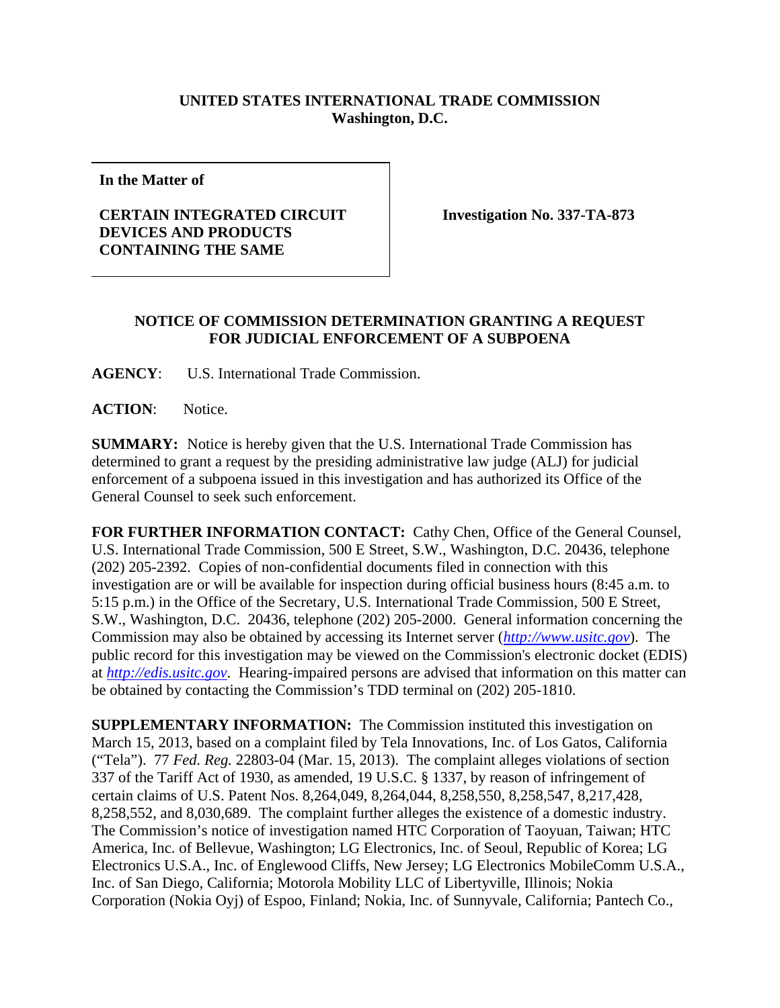## **UNITED STATES INTERNATIONAL TRADE COMMISSION Washington, D.C.**

**In the Matter of** 

## **CERTAIN INTEGRATED CIRCUIT DEVICES AND PRODUCTS CONTAINING THE SAME**

**Investigation No. 337-TA-873** 

## **NOTICE OF COMMISSION DETERMINATION GRANTING A REQUEST FOR JUDICIAL ENFORCEMENT OF A SUBPOENA**

**AGENCY**: U.S. International Trade Commission.

**ACTION**: Notice.

**SUMMARY:** Notice is hereby given that the U.S. International Trade Commission has determined to grant a request by the presiding administrative law judge (ALJ) for judicial enforcement of a subpoena issued in this investigation and has authorized its Office of the General Counsel to seek such enforcement.

**FOR FURTHER INFORMATION CONTACT:** Cathy Chen, Office of the General Counsel, U.S. International Trade Commission, 500 E Street, S.W., Washington, D.C. 20436, telephone (202) 205-2392. Copies of non-confidential documents filed in connection with this investigation are or will be available for inspection during official business hours (8:45 a.m. to 5:15 p.m.) in the Office of the Secretary, U.S. International Trade Commission, 500 E Street, S.W., Washington, D.C. 20436, telephone (202) 205-2000. General information concerning the Commission may also be obtained by accessing its Internet server (*http://www.usitc.gov*). The public record for this investigation may be viewed on the Commission's electronic docket (EDIS) at *http://edis.usitc.gov*. Hearing-impaired persons are advised that information on this matter can be obtained by contacting the Commission's TDD terminal on (202) 205-1810.

**SUPPLEMENTARY INFORMATION:** The Commission instituted this investigation on March 15, 2013, based on a complaint filed by Tela Innovations, Inc. of Los Gatos, California ("Tela"). 77 *Fed. Reg.* 22803-04 (Mar. 15, 2013). The complaint alleges violations of section 337 of the Tariff Act of 1930, as amended, 19 U.S.C. § 1337, by reason of infringement of certain claims of U.S. Patent Nos. 8,264,049, 8,264,044, 8,258,550, 8,258,547, 8,217,428, 8,258,552, and 8,030,689. The complaint further alleges the existence of a domestic industry. The Commission's notice of investigation named HTC Corporation of Taoyuan, Taiwan; HTC America, Inc. of Bellevue, Washington; LG Electronics, Inc. of Seoul, Republic of Korea; LG Electronics U.S.A., Inc. of Englewood Cliffs, New Jersey; LG Electronics MobileComm U.S.A., Inc. of San Diego, California; Motorola Mobility LLC of Libertyville, Illinois; Nokia Corporation (Nokia Oyj) of Espoo, Finland; Nokia, Inc. of Sunnyvale, California; Pantech Co.,